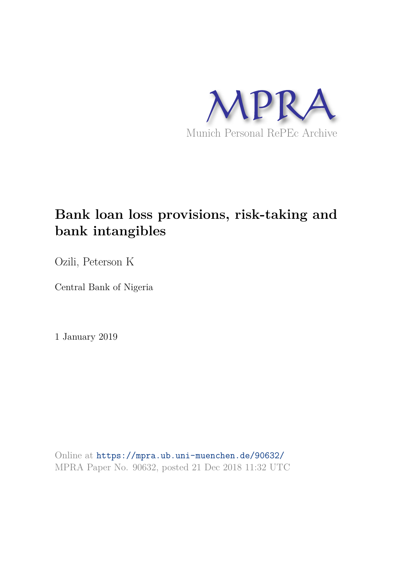

# **Bank loan loss provisions, risk-taking and bank intangibles**

Ozili, Peterson K

Central Bank of Nigeria

1 January 2019

Online at https://mpra.ub.uni-muenchen.de/90632/ MPRA Paper No. 90632, posted 21 Dec 2018 11:32 UTC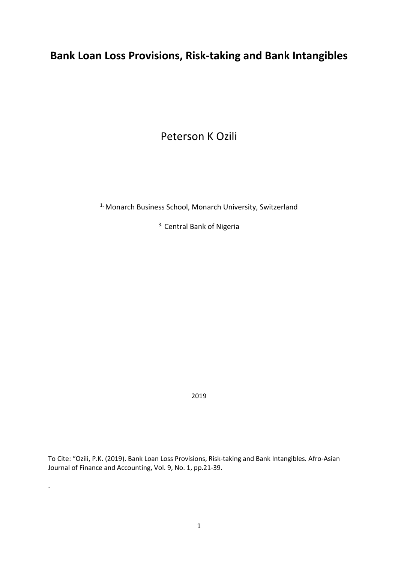# **Bank Loan Loss Provisions, Risk-taking and Bank Intangibles**

Peterson K Ozili

<sup>1.</sup> Monarch Business School, Monarch University, Switzerland

3. Central Bank of Nigeria

2019

To Cite: "Ozili, P.K. (2019). Bank Loan Loss Provisions, Risk-taking and Bank Intangibles. Afro-Asian Journal of Finance and Accounting, Vol. 9, No. 1, pp.21-39.

.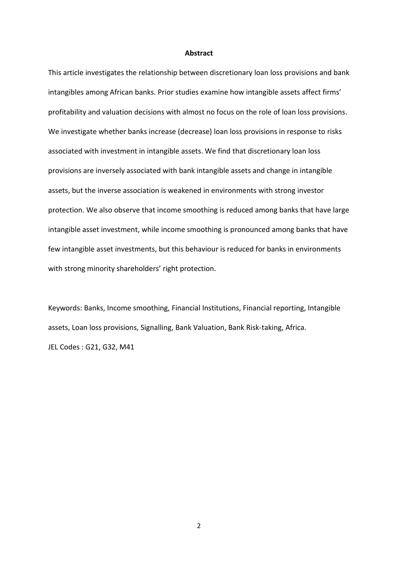#### **Abstract**

This article investigates the relationship between discretionary loan loss provisions and bank intangibles among African banks. Prior studies examine how intangible assets affect firms' profitability and valuation decisions with almost no focus on the role of loan loss provisions. We investigate whether banks increase (decrease) loan loss provisions in response to risks associated with investment in intangible assets. We find that discretionary loan loss provisions are inversely associated with bank intangible assets and change in intangible assets, but the inverse association is weakened in environments with strong investor protection. We also observe that income smoothing is reduced among banks that have large intangible asset investment, while income smoothing is pronounced among banks that have few intangible asset investments, but this behaviour is reduced for banks in environments with strong minority shareholders' right protection.

Keywords: Banks, Income smoothing, Financial Institutions, Financial reporting, Intangible assets, Loan loss provisions, Signalling, Bank Valuation, Bank Risk-taking, Africa. JEL Codes : G21, G32, M41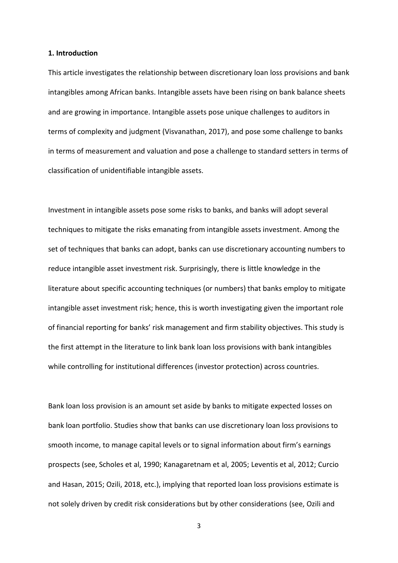#### **1. Introduction**

This article investigates the relationship between discretionary loan loss provisions and bank intangibles among African banks. Intangible assets have been rising on bank balance sheets and are growing in importance. Intangible assets pose unique challenges to auditors in terms of complexity and judgment (Visvanathan, 2017), and pose some challenge to banks in terms of measurement and valuation and pose a challenge to standard setters in terms of classification of unidentifiable intangible assets.

Investment in intangible assets pose some risks to banks, and banks will adopt several techniques to mitigate the risks emanating from intangible assets investment. Among the set of techniques that banks can adopt, banks can use discretionary accounting numbers to reduce intangible asset investment risk. Surprisingly, there is little knowledge in the literature about specific accounting techniques (or numbers) that banks employ to mitigate intangible asset investment risk; hence, this is worth investigating given the important role of financial reporting for banks' risk management and firm stability objectives. This study is the first attempt in the literature to link bank loan loss provisions with bank intangibles while controlling for institutional differences (investor protection) across countries.

Bank loan loss provision is an amount set aside by banks to mitigate expected losses on bank loan portfolio. Studies show that banks can use discretionary loan loss provisions to smooth income, to manage capital levels or to signal information about firm's earnings prospects (see, Scholes et al, 1990; Kanagaretnam et al, 2005; Leventis et al, 2012; Curcio and Hasan, 2015; Ozili, 2018, etc.), implying that reported loan loss provisions estimate is not solely driven by credit risk considerations but by other considerations (see, Ozili and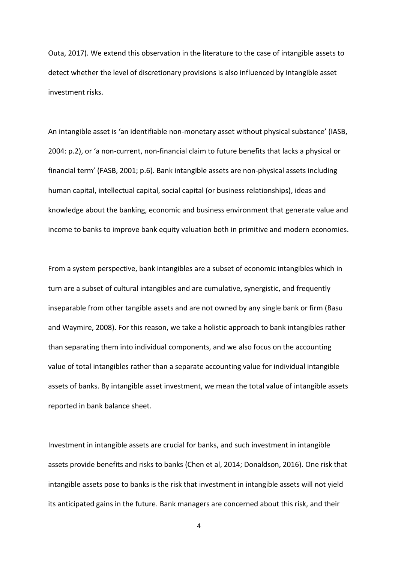Outa, 2017). We extend this observation in the literature to the case of intangible assets to detect whether the level of discretionary provisions is also influenced by intangible asset investment risks.

An intangible asset is 'an identifiable non-monetary asset without physical substance' (IASB, 2004: p.2), or 'a non-current, non-financial claim to future benefits that lacks a physical or financial term' (FASB, 2001; p.6). Bank intangible assets are non-physical assets including human capital, intellectual capital, social capital (or business relationships), ideas and knowledge about the banking, economic and business environment that generate value and income to banks to improve bank equity valuation both in primitive and modern economies.

From a system perspective, bank intangibles are a subset of economic intangibles which in turn are a subset of cultural intangibles and are cumulative, synergistic, and frequently inseparable from other tangible assets and are not owned by any single bank or firm (Basu and Waymire, 2008). For this reason, we take a holistic approach to bank intangibles rather than separating them into individual components, and we also focus on the accounting value of total intangibles rather than a separate accounting value for individual intangible assets of banks. By intangible asset investment, we mean the total value of intangible assets reported in bank balance sheet.

Investment in intangible assets are crucial for banks, and such investment in intangible assets provide benefits and risks to banks (Chen et al, 2014; Donaldson, 2016). One risk that intangible assets pose to banks is the risk that investment in intangible assets will not yield its anticipated gains in the future. Bank managers are concerned about this risk, and their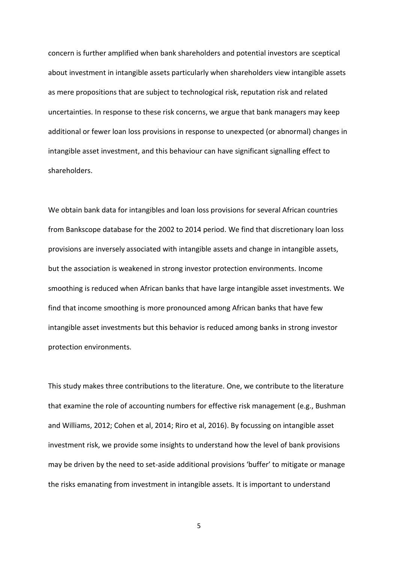concern is further amplified when bank shareholders and potential investors are sceptical about investment in intangible assets particularly when shareholders view intangible assets as mere propositions that are subject to technological risk, reputation risk and related uncertainties. In response to these risk concerns, we argue that bank managers may keep additional or fewer loan loss provisions in response to unexpected (or abnormal) changes in intangible asset investment, and this behaviour can have significant signalling effect to shareholders.

We obtain bank data for intangibles and loan loss provisions for several African countries from Bankscope database for the 2002 to 2014 period. We find that discretionary loan loss provisions are inversely associated with intangible assets and change in intangible assets, but the association is weakened in strong investor protection environments. Income smoothing is reduced when African banks that have large intangible asset investments. We find that income smoothing is more pronounced among African banks that have few intangible asset investments but this behavior is reduced among banks in strong investor protection environments.

This study makes three contributions to the literature. One, we contribute to the literature that examine the role of accounting numbers for effective risk management (e.g., Bushman and Williams, 2012; Cohen et al, 2014; Riro et al, 2016). By focussing on intangible asset investment risk, we provide some insights to understand how the level of bank provisions may be driven by the need to set-aside additional provisions 'buffer' to mitigate or manage the risks emanating from investment in intangible assets. It is important to understand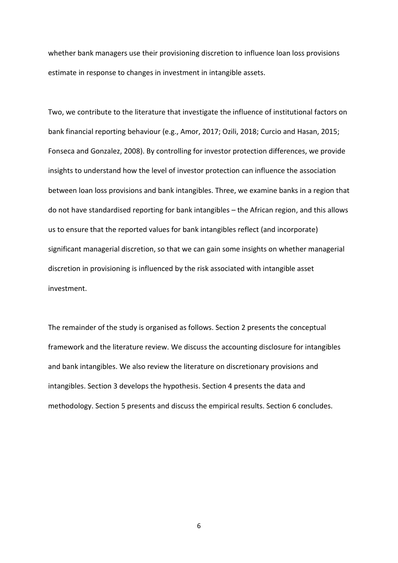whether bank managers use their provisioning discretion to influence loan loss provisions estimate in response to changes in investment in intangible assets.

Two, we contribute to the literature that investigate the influence of institutional factors on bank financial reporting behaviour (e.g., Amor, 2017; Ozili, 2018; Curcio and Hasan, 2015; Fonseca and Gonzalez, 2008). By controlling for investor protection differences, we provide insights to understand how the level of investor protection can influence the association between loan loss provisions and bank intangibles. Three, we examine banks in a region that do not have standardised reporting for bank intangibles – the African region, and this allows us to ensure that the reported values for bank intangibles reflect (and incorporate) significant managerial discretion, so that we can gain some insights on whether managerial discretion in provisioning is influenced by the risk associated with intangible asset investment.

The remainder of the study is organised as follows. Section 2 presents the conceptual framework and the literature review. We discuss the accounting disclosure for intangibles and bank intangibles. We also review the literature on discretionary provisions and intangibles. Section 3 develops the hypothesis. Section 4 presents the data and methodology. Section 5 presents and discuss the empirical results. Section 6 concludes.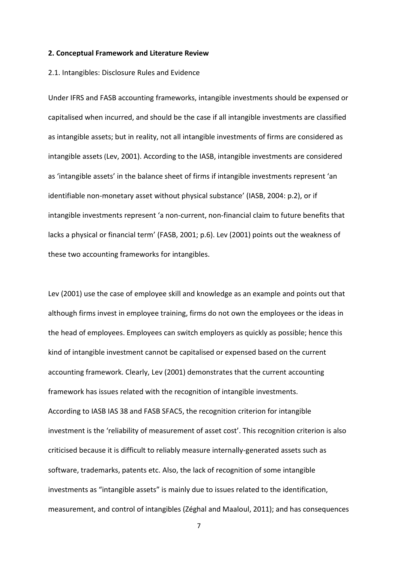#### **2. Conceptual Framework and Literature Review**

#### 2.1. Intangibles: Disclosure Rules and Evidence

Under IFRS and FASB accounting frameworks, intangible investments should be expensed or capitalised when incurred, and should be the case if all intangible investments are classified as intangible assets; but in reality, not all intangible investments of firms are considered as intangible assets (Lev, 2001). According to the IASB, intangible investments are considered as 'intangible assets' in the balance sheet of firms if intangible investments represent 'an identifiable non-monetary asset without physical substance' (IASB, 2004: p.2), or if intangible investments represent 'a non-current, non-financial claim to future benefits that lacks a physical or financial term' (FASB, 2001; p.6). Lev (2001) points out the weakness of these two accounting frameworks for intangibles.

Lev (2001) use the case of employee skill and knowledge as an example and points out that although firms invest in employee training, firms do not own the employees or the ideas in the head of employees. Employees can switch employers as quickly as possible; hence this kind of intangible investment cannot be capitalised or expensed based on the current accounting framework. Clearly, Lev (2001) demonstrates that the current accounting framework has issues related with the recognition of intangible investments. According to IASB IAS 38 and FASB SFAC5, the recognition criterion for intangible investment is the 'reliability of measurement of asset cost'. This recognition criterion is also criticised because it is difficult to reliably measure internally-generated assets such as software, trademarks, patents etc. Also, the lack of recognition of some intangible investments as "intangible assets" is mainly due to issues related to the identification, measurement, and control of intangibles (Zéghal and Maaloul, 2011); and has consequences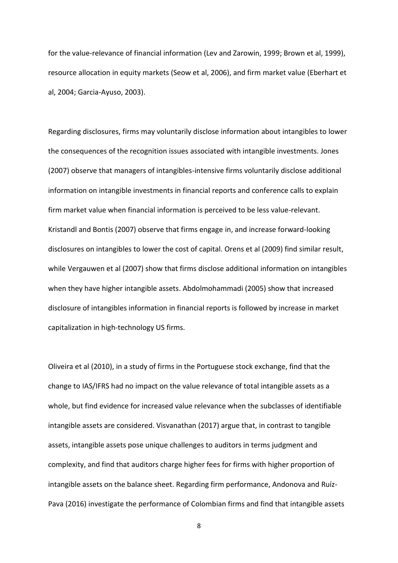for the value-relevance of financial information (Lev and Zarowin, 1999; Brown et al, 1999), resource allocation in equity markets (Seow et al, 2006), and firm market value (Eberhart et al, 2004; Garcia-Ayuso, 2003).

Regarding disclosures, firms may voluntarily disclose information about intangibles to lower the consequences of the recognition issues associated with intangible investments. Jones (2007) observe that managers of intangibles-intensive firms voluntarily disclose additional information on intangible investments in financial reports and conference calls to explain firm market value when financial information is perceived to be less value-relevant. Kristandl and Bontis (2007) observe that firms engage in, and increase forward-looking disclosures on intangibles to lower the cost of capital. Orens et al (2009) find similar result, while Vergauwen et al (2007) show that firms disclose additional information on intangibles when they have higher intangible assets. Abdolmohammadi (2005) show that increased disclosure of intangibles information in financial reports is followed by increase in market capitalization in high-technology US firms.

Oliveira et al (2010), in a study of firms in the Portuguese stock exchange, find that the change to IAS/IFRS had no impact on the value relevance of total intangible assets as a whole, but find evidence for increased value relevance when the subclasses of identifiable intangible assets are considered. Visvanathan (2017) argue that, in contrast to tangible assets, intangible assets pose unique challenges to auditors in terms judgment and complexity, and find that auditors charge higher fees for firms with higher proportion of intangible assets on the balance sheet. Regarding firm performance, Andonova and Ruíz-Pava (2016) investigate the performance of Colombian firms and find that intangible assets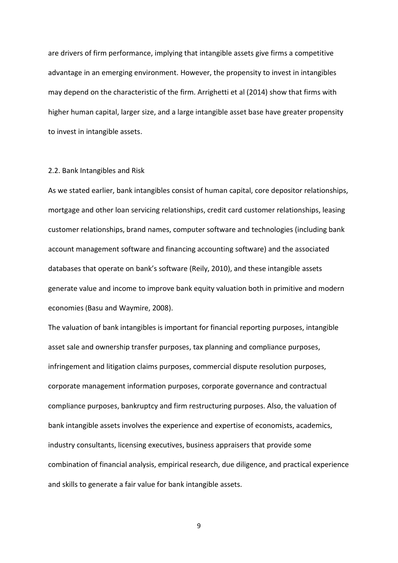are drivers of firm performance, implying that intangible assets give firms a competitive advantage in an emerging environment. However, the propensity to invest in intangibles may depend on the characteristic of the firm. Arrighetti et al (2014) show that firms with higher human capital, larger size, and a large intangible asset base have greater propensity to invest in intangible assets.

#### 2.2. Bank Intangibles and Risk

As we stated earlier, bank intangibles consist of human capital, core depositor relationships, mortgage and other loan servicing relationships, credit card customer relationships, leasing customer relationships, brand names, computer software and technologies (including bank account management software and financing accounting software) and the associated databases that operate on bank's software (Reily, 2010), and these intangible assets generate value and income to improve bank equity valuation both in primitive and modern economies (Basu and Waymire, 2008).

The valuation of bank intangibles is important for financial reporting purposes, intangible asset sale and ownership transfer purposes, tax planning and compliance purposes, infringement and litigation claims purposes, commercial dispute resolution purposes, corporate management information purposes, corporate governance and contractual compliance purposes, bankruptcy and firm restructuring purposes. Also, the valuation of bank intangible assets involves the experience and expertise of economists, academics, industry consultants, licensing executives, business appraisers that provide some combination of financial analysis, empirical research, due diligence, and practical experience and skills to generate a fair value for bank intangible assets.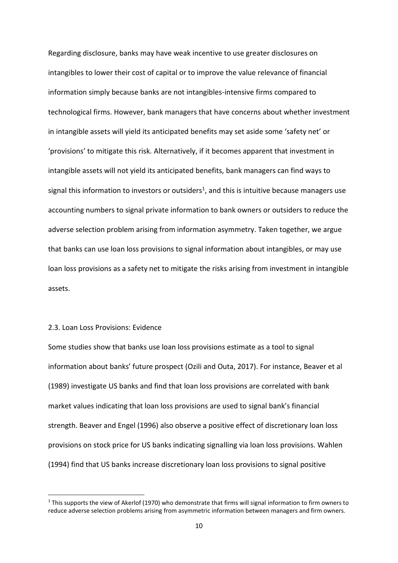Regarding disclosure, banks may have weak incentive to use greater disclosures on intangibles to lower their cost of capital or to improve the value relevance of financial information simply because banks are not intangibles-intensive firms compared to technological firms. However, bank managers that have concerns about whether investment in intangible assets will yield its anticipated benefits may set aside some 'safety net' or 'provisions' to mitigate this risk. Alternatively, if it becomes apparent that investment in intangible assets will not yield its anticipated benefits, bank managers can find ways to signal this information to investors or outsiders<sup>1</sup>, and this is intuitive because managers use accounting numbers to signal private information to bank owners or outsiders to reduce the adverse selection problem arising from information asymmetry. Taken together, we argue that banks can use loan loss provisions to signal information about intangibles, or may use loan loss provisions as a safety net to mitigate the risks arising from investment in intangible assets.

#### 2.3. Loan Loss Provisions: Evidence

-

Some studies show that banks use loan loss provisions estimate as a tool to signal information about banks' future prospect (Ozili and Outa, 2017). For instance, Beaver et al (1989) investigate US banks and find that loan loss provisions are correlated with bank market values indicating that loan loss provisions are used to signal bank's financial strength. Beaver and Engel (1996) also observe a positive effect of discretionary loan loss provisions on stock price for US banks indicating signalling via loan loss provisions. Wahlen (1994) find that US banks increase discretionary loan loss provisions to signal positive

 $1$  This supports the view of Akerlof (1970) who demonstrate that firms will signal information to firm owners to reduce adverse selection problems arising from asymmetric information between managers and firm owners.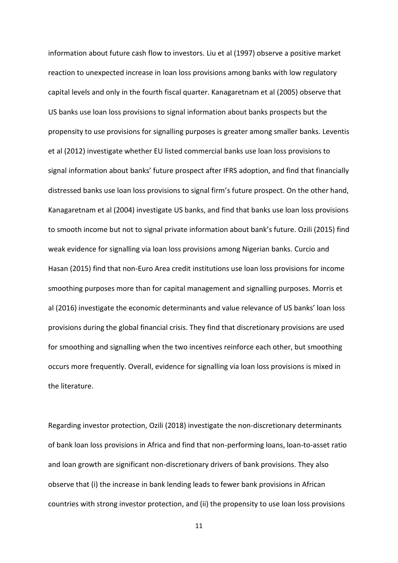information about future cash flow to investors. Liu et al (1997) observe a positive market reaction to unexpected increase in loan loss provisions among banks with low regulatory capital levels and only in the fourth fiscal quarter. Kanagaretnam et al (2005) observe that US banks use loan loss provisions to signal information about banks prospects but the propensity to use provisions for signalling purposes is greater among smaller banks. Leventis et al (2012) investigate whether EU listed commercial banks use loan loss provisions to signal information about banks' future prospect after IFRS adoption, and find that financially distressed banks use loan loss provisions to signal firm's future prospect. On the other hand, Kanagaretnam et al (2004) investigate US banks, and find that banks use loan loss provisions to smooth income but not to signal private information about bank's future. Ozili (2015) find weak evidence for signalling via loan loss provisions among Nigerian banks. Curcio and Hasan (2015) find that non-Euro Area credit institutions use loan loss provisions for income smoothing purposes more than for capital management and signalling purposes. Morris et al (2016) investigate the economic determinants and value relevance of US banks' loan loss provisions during the global financial crisis. They find that discretionary provisions are used for smoothing and signalling when the two incentives reinforce each other, but smoothing occurs more frequently. Overall, evidence for signalling via loan loss provisions is mixed in the literature.

Regarding investor protection, Ozili (2018) investigate the non-discretionary determinants of bank loan loss provisions in Africa and find that non-performing loans, loan-to-asset ratio and loan growth are significant non-discretionary drivers of bank provisions. They also observe that (i) the increase in bank lending leads to fewer bank provisions in African countries with strong investor protection, and (ii) the propensity to use loan loss provisions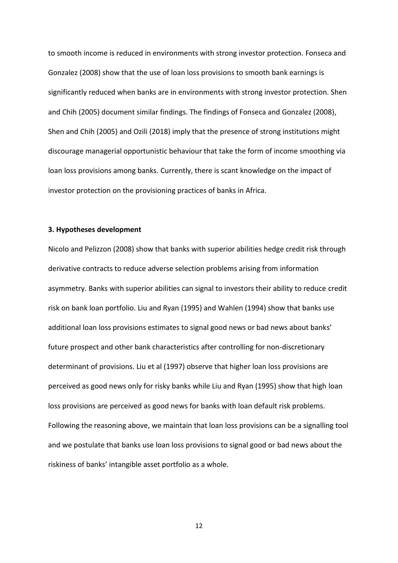to smooth income is reduced in environments with strong investor protection. Fonseca and Gonzalez (2008) show that the use of loan loss provisions to smooth bank earnings is significantly reduced when banks are in environments with strong investor protection. Shen and Chih (2005) document similar findings. The findings of Fonseca and Gonzalez (2008), Shen and Chih (2005) and Ozili (2018) imply that the presence of strong institutions might discourage managerial opportunistic behaviour that take the form of income smoothing via loan loss provisions among banks. Currently, there is scant knowledge on the impact of investor protection on the provisioning practices of banks in Africa.

#### **3. Hypotheses development**

Nicolo and Pelizzon (2008) show that banks with superior abilities hedge credit risk through derivative contracts to reduce adverse selection problems arising from information asymmetry. Banks with superior abilities can signal to investors their ability to reduce credit risk on bank loan portfolio. Liu and Ryan (1995) and Wahlen (1994) show that banks use additional loan loss provisions estimates to signal good news or bad news about banks' future prospect and other bank characteristics after controlling for non-discretionary determinant of provisions. Liu et al (1997) observe that higher loan loss provisions are perceived as good news only for risky banks while Liu and Ryan (1995) show that high loan loss provisions are perceived as good news for banks with loan default risk problems. Following the reasoning above, we maintain that loan loss provisions can be a signalling tool and we postulate that banks use loan loss provisions to signal good or bad news about the riskiness of banks' intangible asset portfolio as a whole.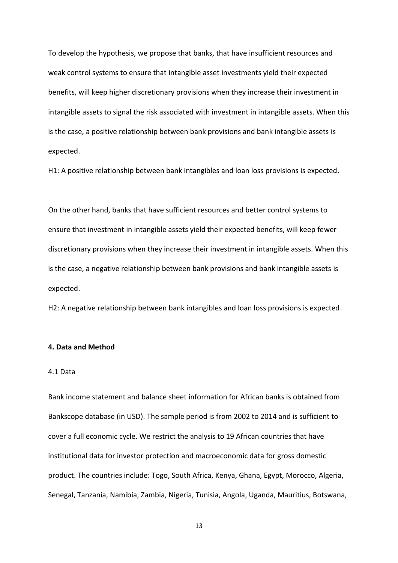To develop the hypothesis, we propose that banks, that have insufficient resources and weak control systems to ensure that intangible asset investments yield their expected benefits, will keep higher discretionary provisions when they increase their investment in intangible assets to signal the risk associated with investment in intangible assets. When this is the case, a positive relationship between bank provisions and bank intangible assets is expected.

H1: A positive relationship between bank intangibles and loan loss provisions is expected.

On the other hand, banks that have sufficient resources and better control systems to ensure that investment in intangible assets yield their expected benefits, will keep fewer discretionary provisions when they increase their investment in intangible assets. When this is the case, a negative relationship between bank provisions and bank intangible assets is expected.

H2: A negative relationship between bank intangibles and loan loss provisions is expected.

#### **4. Data and Method**

#### 4.1 Data

Bank income statement and balance sheet information for African banks is obtained from Bankscope database (in USD). The sample period is from 2002 to 2014 and is sufficient to cover a full economic cycle. We restrict the analysis to 19 African countries that have institutional data for investor protection and macroeconomic data for gross domestic product. The countries include: Togo, South Africa, Kenya, Ghana, Egypt, Morocco, Algeria, Senegal, Tanzania, Namibia, Zambia, Nigeria, Tunisia, Angola, Uganda, Mauritius, Botswana,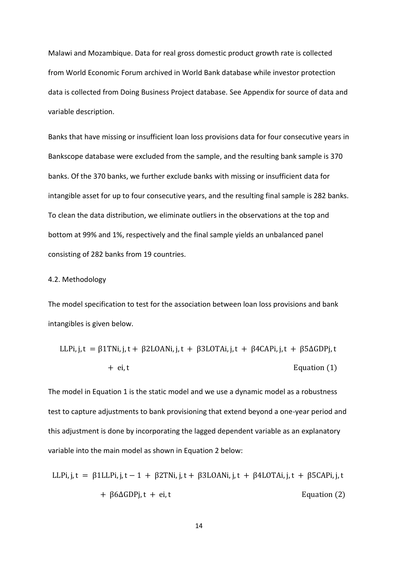Malawi and Mozambique. Data for real gross domestic product growth rate is collected from World Economic Forum archived in World Bank database while investor protection data is collected from Doing Business Project database. See Appendix for source of data and variable description.

Banks that have missing or insufficient loan loss provisions data for four consecutive years in Bankscope database were excluded from the sample, and the resulting bank sample is 370 banks. Of the 370 banks, we further exclude banks with missing or insufficient data for intangible asset for up to four consecutive years, and the resulting final sample is 282 banks. To clean the data distribution, we eliminate outliers in the observations at the top and bottom at 99% and 1%, respectively and the final sample yields an unbalanced panel consisting of 282 banks from 19 countries.

#### 4.2. Methodology

The model specification to test for the association between loan loss provisions and bank intangibles is given below.

LLPi, j, t = β1TNi, j, t + β2LOANi, j, t + β3LOTAi, j, t + β4CAPi, j, t + β5ΔGDPj, t + ei, t Equation (1)

The model in Equation 1 is the static model and we use a dynamic model as a robustness test to capture adjustments to bank provisioning that extend beyond a one-year period and this adjustment is done by incorporating the lagged dependent variable as an explanatory variable into the main model as shown in Equation 2 below:

LLPi, j, t = β1LLPi, j, t − 1 + β2TNi, j, t + β3LOANi, j, t + β4LOTAi, j, t + β5CAPi, j, t + β6ΔGDPj, t + ei, t Equation (2)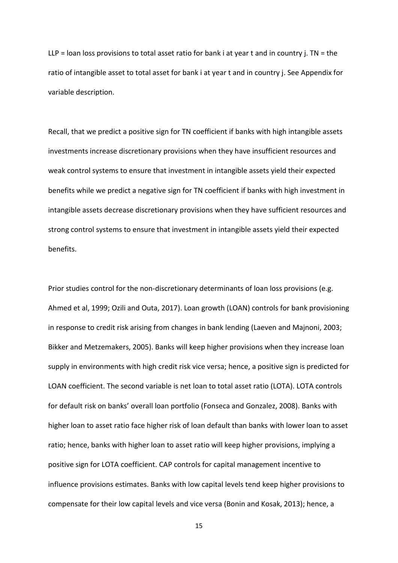$LLP =$  loan loss provisions to total asset ratio for bank i at year t and in country j. TN = the ratio of intangible asset to total asset for bank i at year t and in country j. See Appendix for variable description.

Recall, that we predict a positive sign for TN coefficient if banks with high intangible assets investments increase discretionary provisions when they have insufficient resources and weak control systems to ensure that investment in intangible assets yield their expected benefits while we predict a negative sign for TN coefficient if banks with high investment in intangible assets decrease discretionary provisions when they have sufficient resources and strong control systems to ensure that investment in intangible assets yield their expected benefits.

Prior studies control for the non-discretionary determinants of loan loss provisions (e.g. Ahmed et al, 1999; Ozili and Outa, 2017). Loan growth (LOAN) controls for bank provisioning in response to credit risk arising from changes in bank lending (Laeven and Majnoni, 2003; Bikker and Metzemakers, 2005). Banks will keep higher provisions when they increase loan supply in environments with high credit risk vice versa; hence, a positive sign is predicted for LOAN coefficient. The second variable is net loan to total asset ratio (LOTA). LOTA controls for default risk on banks' overall loan portfolio (Fonseca and Gonzalez, 2008). Banks with higher loan to asset ratio face higher risk of loan default than banks with lower loan to asset ratio; hence, banks with higher loan to asset ratio will keep higher provisions, implying a positive sign for LOTA coefficient. CAP controls for capital management incentive to influence provisions estimates. Banks with low capital levels tend keep higher provisions to compensate for their low capital levels and vice versa (Bonin and Kosak, 2013); hence, a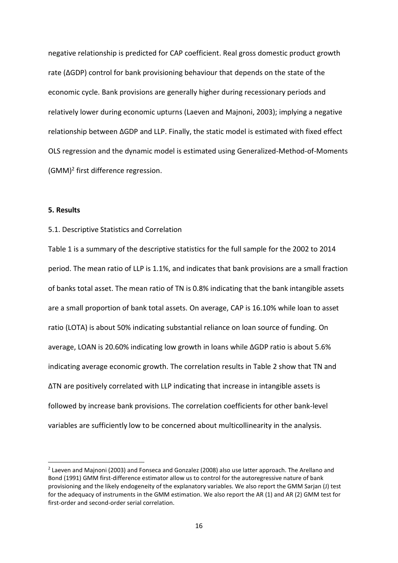negative relationship is predicted for CAP coefficient. Real gross domestic product growth rate (ΔGDP) control for bank provisioning behaviour that depends on the state of the economic cycle. Bank provisions are generally higher during recessionary periods and relatively lower during economic upturns (Laeven and Majnoni, 2003); implying a negative relationship between ΔGDP and LLP. Finally, the static model is estimated with fixed effect OLS regression and the dynamic model is estimated using Generalized-Method-of-Moments (GMM)<sup>2</sup> first difference regression.

#### **5. Results**

<u>.</u>

#### 5.1. Descriptive Statistics and Correlation

Table 1 is a summary of the descriptive statistics for the full sample for the 2002 to 2014 period. The mean ratio of LLP is 1.1%, and indicates that bank provisions are a small fraction of banks total asset. The mean ratio of TN is 0.8% indicating that the bank intangible assets are a small proportion of bank total assets. On average, CAP is 16.10% while loan to asset ratio (LOTA) is about 50% indicating substantial reliance on loan source of funding. On average, LOAN is 20.60% indicating low growth in loans while ΔGDP ratio is about 5.6% indicating average economic growth. The correlation results in Table 2 show that TN and ΔTN are positively correlated with LLP indicating that increase in intangible assets is followed by increase bank provisions. The correlation coefficients for other bank-level variables are sufficiently low to be concerned about multicollinearity in the analysis.

<sup>&</sup>lt;sup>2</sup> Laeven and Majnoni (2003) and Fonseca and Gonzalez (2008) also use latter approach. The Arellano and Bond (1991) GMM first-difference estimator allow us to control for the autoregressive nature of bank provisioning and the likely endogeneity of the explanatory variables. We also report the GMM Sarjan (J) test for the adequacy of instruments in the GMM estimation. We also report the AR (1) and AR (2) GMM test for first-order and second-order serial correlation.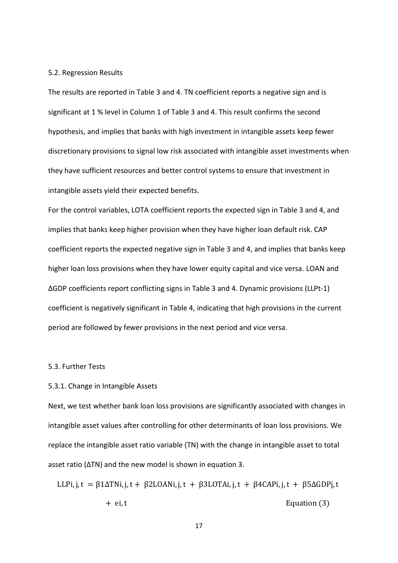#### 5.2. Regression Results

The results are reported in Table 3 and 4. TN coefficient reports a negative sign and is significant at 1 % level in Column 1 of Table 3 and 4. This result confirms the second hypothesis, and implies that banks with high investment in intangible assets keep fewer discretionary provisions to signal low risk associated with intangible asset investments when they have sufficient resources and better control systems to ensure that investment in intangible assets yield their expected benefits.

For the control variables, LOTA coefficient reports the expected sign in Table 3 and 4, and implies that banks keep higher provision when they have higher loan default risk. CAP coefficient reports the expected negative sign in Table 3 and 4, and implies that banks keep higher loan loss provisions when they have lower equity capital and vice versa. LOAN and ΔGDP coefficients report conflicting signs in Table 3 and 4. Dynamic provisions (LLPt-1) coefficient is negatively significant in Table 4, indicating that high provisions in the current period are followed by fewer provisions in the next period and vice versa.

#### 5.3. Further Tests

#### 5.3.1. Change in Intangible Assets

Next, we test whether bank loan loss provisions are significantly associated with changes in intangible asset values after controlling for other determinants of loan loss provisions. We replace the intangible asset ratio variable (TN) with the change in intangible asset to total asset ratio (ΔTN) and the new model is shown in equation 3.

LLPi, j,  $t = \beta 1 \Delta T N i$ , j,  $t + \beta 2$ LOANi, j,  $t + \beta 3$ LOTAi, j,  $t + \beta 4$ CAPi, j,  $t + \beta 5 \Delta$ GDPj, t + ei, t Equation (3)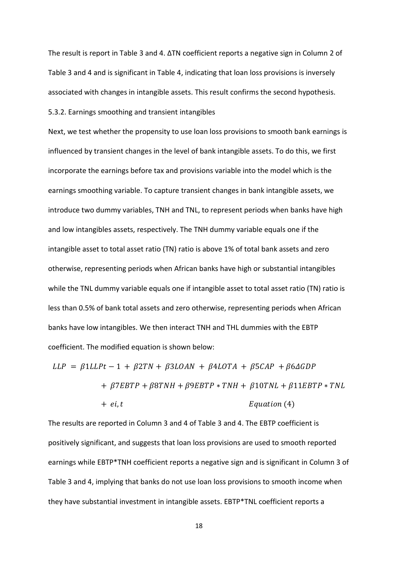The result is report in Table 3 and 4. ΔTN coefficient reports a negative sign in Column 2 of Table 3 and 4 and is significant in Table 4, indicating that loan loss provisions is inversely associated with changes in intangible assets. This result confirms the second hypothesis.

5.3.2. Earnings smoothing and transient intangibles

Next, we test whether the propensity to use loan loss provisions to smooth bank earnings is influenced by transient changes in the level of bank intangible assets. To do this, we first incorporate the earnings before tax and provisions variable into the model which is the earnings smoothing variable. To capture transient changes in bank intangible assets, we introduce two dummy variables, TNH and TNL, to represent periods when banks have high and low intangibles assets, respectively. The TNH dummy variable equals one if the intangible asset to total asset ratio (TN) ratio is above 1% of total bank assets and zero otherwise, representing periods when African banks have high or substantial intangibles while the TNL dummy variable equals one if intangible asset to total asset ratio (TN) ratio is less than 0.5% of bank total assets and zero otherwise, representing periods when African banks have low intangibles. We then interact TNH and THL dummies with the EBTP coefficient. The modified equation is shown below:

 $LLP = \beta 1LLPt - 1 + \beta 2TN + \beta 3LOAN + \beta 4LOTA + \beta 5CAP + \beta 6\Delta GDP$ +  $\beta$ 7EBTP +  $\beta$ 8TNH +  $\beta$ 9EBTP \* TNH +  $\beta$ 10TNL +  $\beta$ 11EBTP \* TNL  $+ ei, t$   $Equation (4)$ 

The results are reported in Column 3 and 4 of Table 3 and 4. The EBTP coefficient is positively significant, and suggests that loan loss provisions are used to smooth reported earnings while EBTP\*TNH coefficient reports a negative sign and is significant in Column 3 of Table 3 and 4, implying that banks do not use loan loss provisions to smooth income when they have substantial investment in intangible assets. EBTP\*TNL coefficient reports a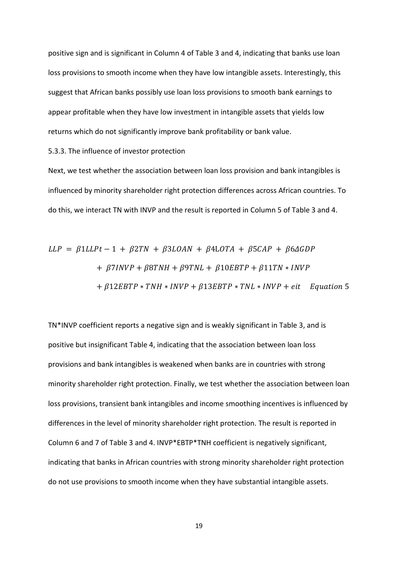positive sign and is significant in Column 4 of Table 3 and 4, indicating that banks use loan loss provisions to smooth income when they have low intangible assets. Interestingly, this suggest that African banks possibly use loan loss provisions to smooth bank earnings to appear profitable when they have low investment in intangible assets that yields low returns which do not significantly improve bank profitability or bank value.

5.3.3. The influence of investor protection

Next, we test whether the association between loan loss provision and bank intangibles is influenced by minority shareholder right protection differences across African countries. To do this, we interact TN with INVP and the result is reported in Column 5 of Table 3 and 4.

$$
LLP = \beta 1LLPt - 1 + \beta 2TN + \beta 3LOAN + \beta 4LOTA + \beta 5CAP + \beta 6\Delta GDP
$$
  
+ 
$$
\beta 7INVP + \beta 8TNH + \beta 9TNL + \beta 10EBTP + \beta 11TN * INVP
$$
  
+ 
$$
\beta 12EBTP * TNH * INVP + \beta 13EBTP * TNL * INVP + eit
$$
 Equation 5

TN\*INVP coefficient reports a negative sign and is weakly significant in Table 3, and is positive but insignificant Table 4, indicating that the association between loan loss provisions and bank intangibles is weakened when banks are in countries with strong minority shareholder right protection. Finally, we test whether the association between loan loss provisions, transient bank intangibles and income smoothing incentives is influenced by differences in the level of minority shareholder right protection. The result is reported in Column 6 and 7 of Table 3 and 4. INVP\*EBTP\*TNH coefficient is negatively significant, indicating that banks in African countries with strong minority shareholder right protection do not use provisions to smooth income when they have substantial intangible assets.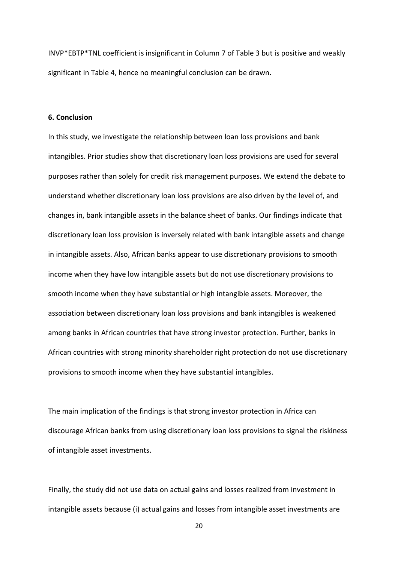INVP\*EBTP\*TNL coefficient is insignificant in Column 7 of Table 3 but is positive and weakly significant in Table 4, hence no meaningful conclusion can be drawn.

#### **6. Conclusion**

In this study, we investigate the relationship between loan loss provisions and bank intangibles. Prior studies show that discretionary loan loss provisions are used for several purposes rather than solely for credit risk management purposes. We extend the debate to understand whether discretionary loan loss provisions are also driven by the level of, and changes in, bank intangible assets in the balance sheet of banks. Our findings indicate that discretionary loan loss provision is inversely related with bank intangible assets and change in intangible assets. Also, African banks appear to use discretionary provisions to smooth income when they have low intangible assets but do not use discretionary provisions to smooth income when they have substantial or high intangible assets. Moreover, the association between discretionary loan loss provisions and bank intangibles is weakened among banks in African countries that have strong investor protection. Further, banks in African countries with strong minority shareholder right protection do not use discretionary provisions to smooth income when they have substantial intangibles.

The main implication of the findings is that strong investor protection in Africa can discourage African banks from using discretionary loan loss provisions to signal the riskiness of intangible asset investments.

Finally, the study did not use data on actual gains and losses realized from investment in intangible assets because (i) actual gains and losses from intangible asset investments are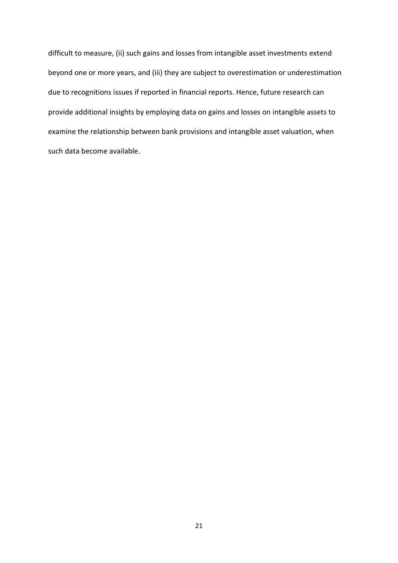difficult to measure, (ii) such gains and losses from intangible asset investments extend beyond one or more years, and (iii) they are subject to overestimation or underestimation due to recognitions issues if reported in financial reports. Hence, future research can provide additional insights by employing data on gains and losses on intangible assets to examine the relationship between bank provisions and intangible asset valuation, when such data become available.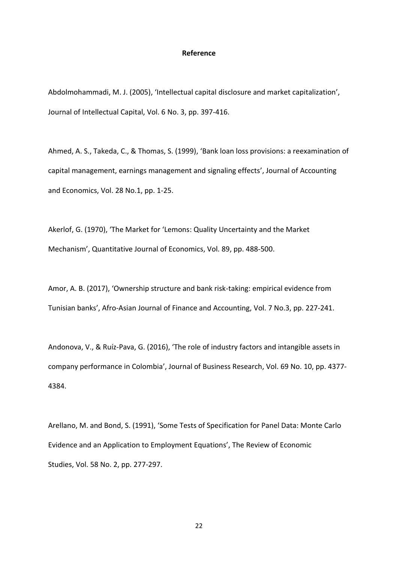#### **Reference**

Abdolmohammadi, M. J. (2005), 'Intellectual capital disclosure and market capitalization', Journal of Intellectual Capital, Vol. 6 No. 3, pp. 397-416.

Ahmed, A. S., Takeda, C., & Thomas, S. (1999), 'Bank loan loss provisions: a reexamination of capital management, earnings management and signaling effects', Journal of Accounting and Economics, Vol. 28 No.1, pp. 1-25.

Akerlof, G. (1970), 'The Market for 'Lemons: Quality Uncertainty and the Market Mechanism', Quantitative Journal of Economics, Vol. 89, pp. 488-500.

Amor, A. B. (2017), 'Ownership structure and bank risk-taking: empirical evidence from Tunisian banks', Afro-Asian Journal of Finance and Accounting, Vol. 7 No.3, pp. 227-241.

Andonova, V., & Ruíz-Pava, G. (2016), 'The role of industry factors and intangible assets in company performance in Colombia', Journal of Business Research, Vol. 69 No. 10, pp. 4377- 4384.

Arellano, M. and Bond, S. (1991), 'Some Tests of Specification for Panel Data: Monte Carlo Evidence and an Application to Employment Equations', The Review of Economic Studies, Vol. 58 No. 2, pp. 277-297.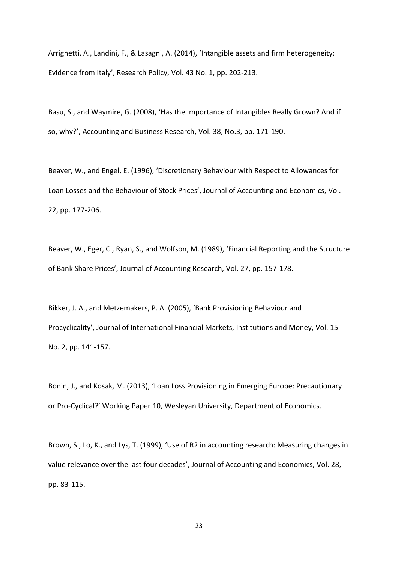Arrighetti, A., Landini, F., & Lasagni, A. (2014), 'Intangible assets and firm heterogeneity: Evidence from Italy', Research Policy, Vol. 43 No. 1, pp. 202-213.

Basu, S., and Waymire, G. (2008), 'Has the Importance of Intangibles Really Grown? And if so, why?', Accounting and Business Research, Vol. 38, No.3, pp. 171-190.

Beaver, W., and Engel, E. (1996), 'Discretionary Behaviour with Respect to Allowances for Loan Losses and the Behaviour of Stock Prices', Journal of Accounting and Economics, Vol. 22, pp. 177-206.

Beaver, W., Eger, C., Ryan, S., and Wolfson, M. (1989), 'Financial Reporting and the Structure of Bank Share Prices', Journal of Accounting Research, Vol. 27, pp. 157-178.

Bikker, J. A., and Metzemakers, P. A. (2005), 'Bank Provisioning Behaviour and Procyclicality', Journal of International Financial Markets, Institutions and Money, Vol. 15 No. 2, pp. 141-157.

Bonin, J., and Kosak, M. (2013), 'Loan Loss Provisioning in Emerging Europe: Precautionary or Pro-Cyclical?' Working Paper 10, Wesleyan University, Department of Economics.

Brown, S., Lo, K., and Lys, T. (1999), 'Use of R2 in accounting research: Measuring changes in value relevance over the last four decades', Journal of Accounting and Economics, Vol. 28, pp. 83-115.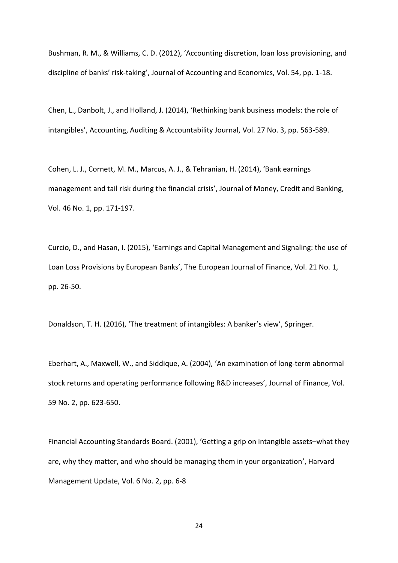Bushman, R. M., & Williams, C. D. (2012), 'Accounting discretion, loan loss provisioning, and discipline of banks' risk-taking', Journal of Accounting and Economics, Vol. 54, pp. 1-18.

Chen, L., Danbolt, J., and Holland, J. (2014), 'Rethinking bank business models: the role of intangibles', Accounting, Auditing & Accountability Journal, Vol. 27 No. 3, pp. 563-589.

Cohen, L. J., Cornett, M. M., Marcus, A. J., & Tehranian, H. (2014), 'Bank earnings management and tail risk during the financial crisis', Journal of Money, Credit and Banking, Vol. 46 No. 1, pp. 171-197.

Curcio, D., and Hasan, I. (2015), 'Earnings and Capital Management and Signaling: the use of Loan Loss Provisions by European Banks', The European Journal of Finance, Vol. 21 No. 1, pp. 26-50.

Donaldson, T. H. (2016), 'The treatment of intangibles: A banker's view', Springer.

Eberhart, A., Maxwell, W., and Siddique, A. (2004), 'An examination of long-term abnormal stock returns and operating performance following R&D increases', Journal of Finance, Vol. 59 No. 2, pp. 623-650.

Financial Accounting Standards Board. (2001), 'Getting a grip on intangible assets–what they are, why they matter, and who should be managing them in your organization', Harvard Management Update, Vol. 6 No. 2, pp. 6-8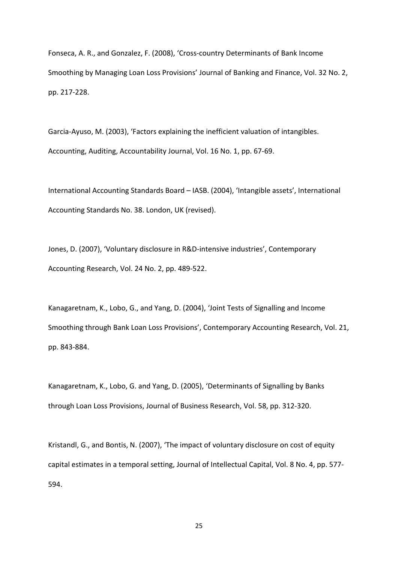Fonseca, A. R., and Gonzalez, F. (2008), 'Cross-country Determinants of Bank Income Smoothing by Managing Loan Loss Provisions' Journal of Banking and Finance, Vol. 32 No. 2, pp. 217-228.

Garcia-Ayuso, M. (2003), 'Factors explaining the inefficient valuation of intangibles. Accounting, Auditing, Accountability Journal, Vol. 16 No. 1, pp. 67-69.

International Accounting Standards Board – IASB. (2004), 'Intangible assets', International Accounting Standards No. 38. London, UK (revised).

Jones, D. (2007), 'Voluntary disclosure in R&D-intensive industries', Contemporary Accounting Research, Vol. 24 No. 2, pp. 489-522.

Kanagaretnam, K., Lobo, G., and Yang, D. (2004), 'Joint Tests of Signalling and Income Smoothing through Bank Loan Loss Provisions', Contemporary Accounting Research, Vol. 21, pp. 843-884.

Kanagaretnam, K., Lobo, G. and Yang, D. (2005), 'Determinants of Signalling by Banks through Loan Loss Provisions, Journal of Business Research, Vol. 58, pp. 312-320.

Kristandl, G., and Bontis, N. (2007), 'The impact of voluntary disclosure on cost of equity capital estimates in a temporal setting, Journal of Intellectual Capital, Vol. 8 No. 4, pp. 577- 594.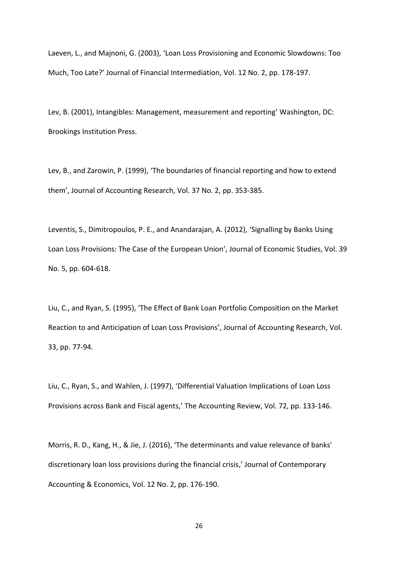Laeven, L., and Majnoni, G. (2003), 'Loan Loss Provisioning and Economic Slowdowns: Too Much, Too Late?' Journal of Financial Intermediation, Vol. 12 No. 2, pp. 178-197.

Lev, B. (2001), Intangibles: Management, measurement and reporting' Washington, DC: Brookings Institution Press.

Lev, B., and Zarowin, P. (1999), 'The boundaries of financial reporting and how to extend them', Journal of Accounting Research, Vol. 37 No. 2, pp. 353-385.

Leventis, S., Dimitropoulos, P. E., and Anandarajan, A. (2012), 'Signalling by Banks Using Loan Loss Provisions: The Case of the European Union', Journal of Economic Studies, Vol. 39 No. 5, pp. 604-618.

Liu, C., and Ryan, S. (1995), 'The Effect of Bank Loan Portfolio Composition on the Market Reaction to and Anticipation of Loan Loss Provisions', Journal of Accounting Research, Vol. 33, pp. 77-94.

Liu, C., Ryan, S., and Wahlen, J. (1997), 'Differential Valuation Implications of Loan Loss Provisions across Bank and Fiscal agents,' The Accounting Review, Vol. 72, pp. 133-146.

Morris, R. D., Kang, H., & Jie, J. (2016), 'The determinants and value relevance of banks' discretionary loan loss provisions during the financial crisis,' Journal of Contemporary Accounting & Economics, Vol. 12 No. 2, pp. 176-190.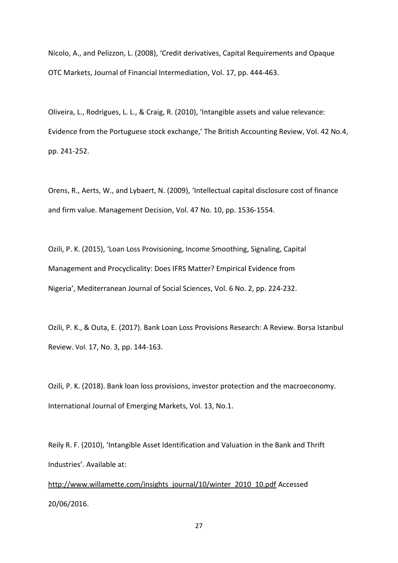Nicolo, A., and Pelizzon, L. (2008), 'Credit derivatives, Capital Requirements and Opaque OTC Markets, Journal of Financial Intermediation, Vol. 17, pp. 444-463.

Oliveira, L., Rodrigues, L. L., & Craig, R. (2010), 'Intangible assets and value relevance: Evidence from the Portuguese stock exchange,' The British Accounting Review, Vol. 42 No.4, pp. 241-252.

Orens, R., Aerts, W., and Lybaert, N. (2009), 'Intellectual capital disclosure cost of finance and firm value. Management Decision, Vol. 47 No. 10, pp. 1536-1554.

Ozili, P. K. (2015), 'Loan Loss Provisioning, Income Smoothing, Signaling, Capital Management and Procyclicality: Does IFRS Matter? Empirical Evidence from Nigeria', Mediterranean Journal of Social Sciences, Vol. 6 No. 2, pp. 224-232.

Ozili, P. K., & Outa, E. (2017). Bank Loan Loss Provisions Research: A Review. Borsa Istanbul Review. Vol. 17, No. 3, pp. 144-163.

Ozili, P. K. (2018). Bank loan loss provisions, investor protection and the macroeconomy. International Journal of Emerging Markets, Vol. 13, No.1.

Reily R. F. (2010), 'Intangible Asset Identification and Valuation in the Bank and Thrift Industries'. Available at:

[http://www.willamette.com/insights\\_journal/10/winter\\_2010\\_10.pdf](http://www.willamette.com/insights_journal/10/winter_2010_10.pdf) Accessed 20/06/2016.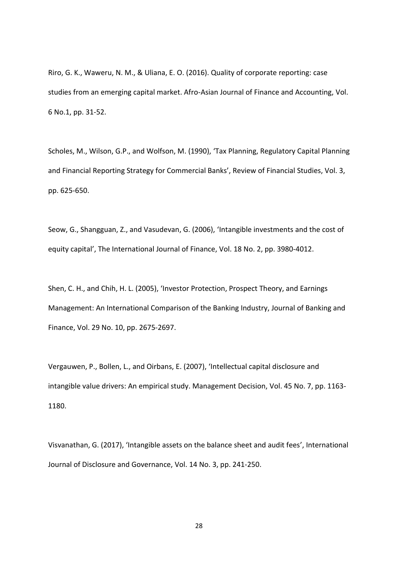Riro, G. K., Waweru, N. M., & Uliana, E. O. (2016). Quality of corporate reporting: case studies from an emerging capital market. Afro-Asian Journal of Finance and Accounting, Vol. 6 No.1, pp. 31-52.

Scholes, M., Wilson, G.P., and Wolfson, M. (1990), 'Tax Planning, Regulatory Capital Planning and Financial Reporting Strategy for Commercial Banks', Review of Financial Studies, Vol. 3, pp. 625-650.

Seow, G., Shangguan, Z., and Vasudevan, G. (2006), 'Intangible investments and the cost of equity capital', The International Journal of Finance, Vol. 18 No. 2, pp. 3980-4012.

Shen, C. H., and Chih, H. L. (2005), 'Investor Protection, Prospect Theory, and Earnings Management: An International Comparison of the Banking Industry, Journal of Banking and Finance, Vol. 29 No. 10, pp. 2675-2697.

Vergauwen, P., Bollen, L., and Oirbans, E. (2007), 'Intellectual capital disclosure and intangible value drivers: An empirical study. Management Decision, Vol. 45 No. 7, pp. 1163- 1180.

Visvanathan, G. (2017), 'Intangible assets on the balance sheet and audit fees', International Journal of Disclosure and Governance, Vol. 14 No. 3, pp. 241-250.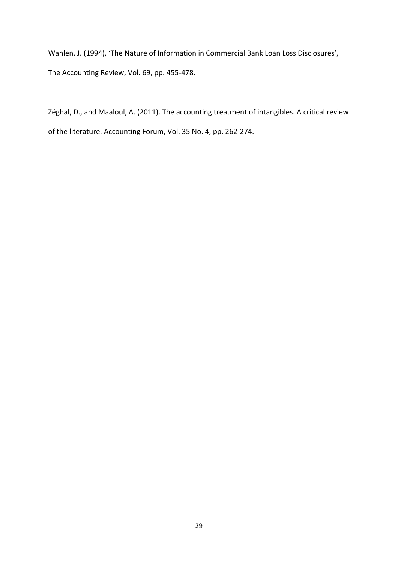Wahlen, J. (1994), 'The Nature of Information in Commercial Bank Loan Loss Disclosures', The Accounting Review, Vol. 69, pp. 455-478.

Zéghal, D., and Maaloul, A. (2011). The accounting treatment of intangibles. A critical review of the literature. Accounting Forum, Vol. 35 No. 4, pp. 262-274.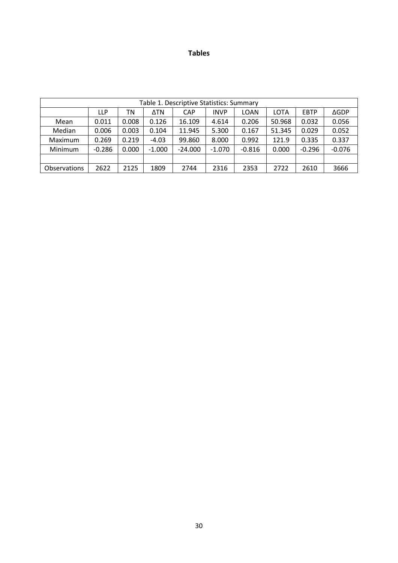### **Tables**

| Table 1. Descriptive Statistics: Summary |          |       |          |            |             |          |        |             |             |
|------------------------------------------|----------|-------|----------|------------|-------------|----------|--------|-------------|-------------|
|                                          | LLP      | ΤN    | ΔTN      | <b>CAP</b> | <b>INVP</b> | LOAN     | LOTA   | <b>EBTP</b> | <b>AGDP</b> |
| Mean                                     | 0.011    | 0.008 | 0.126    | 16.109     | 4.614       | 0.206    | 50.968 | 0.032       | 0.056       |
| Median                                   | 0.006    | 0.003 | 0.104    | 11.945     | 5.300       | 0.167    | 51.345 | 0.029       | 0.052       |
| Maximum                                  | 0.269    | 0.219 | $-4.03$  | 99.860     | 8.000       | 0.992    | 121.9  | 0.335       | 0.337       |
| Minimum                                  | $-0.286$ | 0.000 | $-1.000$ | $-24.000$  | $-1.070$    | $-0.816$ | 0.000  | $-0.296$    | $-0.076$    |
|                                          |          |       |          |            |             |          |        |             |             |
| Observations                             | 2622     | 2125  | 1809     | 2744       | 2316        | 2353     | 2722   | 2610        | 3666        |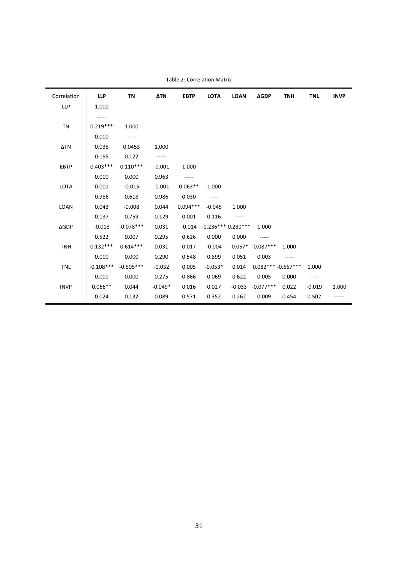| Correlation | <b>LLP</b>  | <b>TN</b>   | <b>ΔTN</b> | <b>EBTP</b> | <b>LOTA</b> | <b>LOAN</b>         | <b>AGDP</b>         | <b>TNH</b> | <b>TNL</b> | <b>INVP</b> |
|-------------|-------------|-------------|------------|-------------|-------------|---------------------|---------------------|------------|------------|-------------|
| LLP         | 1.000       |             |            |             |             |                     |                     |            |            |             |
|             | -----       |             |            |             |             |                     |                     |            |            |             |
| <b>TN</b>   | $0.219***$  | 1.000       |            |             |             |                     |                     |            |            |             |
|             | 0.000       | -----       |            |             |             |                     |                     |            |            |             |
| ΔTN         | 0.038       | 0.0453      | 1.000      |             |             |                     |                     |            |            |             |
|             | 0.195       | 0.122       | -----      |             |             |                     |                     |            |            |             |
| <b>EBTP</b> | $0.403***$  | $0.110***$  | $-0.001$   | 1.000       |             |                     |                     |            |            |             |
|             | 0.000       | 0.000       | 0.963      | -----       |             |                     |                     |            |            |             |
| LOTA        | 0.001       | $-0.015$    | $-0.001$   | $0.063**$   | 1.000       |                     |                     |            |            |             |
|             | 0.986       | 0.618       | 0.986      | 0.030       | -----       |                     |                     |            |            |             |
| LOAN        | 0.043       | $-0.008$    | 0.044      | $0.094***$  | $-0.045$    | 1.000               |                     |            |            |             |
|             | 0.137       | 0.759       | 0.129      | 0.001       | 0.116       | -----               |                     |            |            |             |
| <b>AGDP</b> | $-0.018$    | $-0.078***$ | 0.031      | $-0.014$    |             | $-0.236***0.280***$ | 1.000               |            |            |             |
|             | 0.522       | 0.007       | 0.295      | 0.626       | 0.000       | 0.000               | -----               |            |            |             |
| <b>TNH</b>  | $0.132***$  | $0.614***$  | 0.031      | 0.017       | $-0.004$    |                     | $-0.057* -0.087***$ | 1.000      |            |             |
|             | 0.000       | 0.000       | 0.290      | 0.548       | 0.899       | 0.051               | 0.003               | -----      |            |             |
| <b>TNL</b>  | $-0.108***$ | $-0.505***$ | $-0.032$   | 0.005       | $-0.053*$   | 0.014               | $0.082***-0.667***$ |            | 1.000      |             |
|             | 0.000       | 0.000       | 0.275      | 0.866       | 0.069       | 0.622               | 0.005               | 0.000      | -----      |             |
| <b>INVP</b> | $0.066**$   | 0.044       | $-0.049*$  | 0.016       | 0.027       | $-0.033$            | $-0.077***$         | 0.022      | $-0.019$   | 1.000       |
|             | 0.024       | 0.132       | 0.089      | 0.571       | 0.352       | 0.262               | 0.009               | 0.454      | 0.502      |             |

Table 2: Correlation Matrix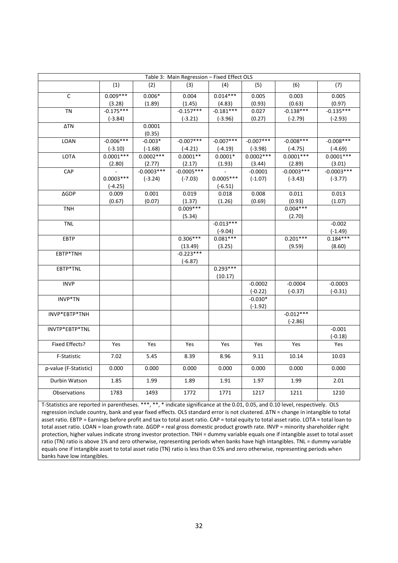| Table 3: Main Regression - Fixed Effect OLS |             |              |              |             |             |              |              |  |
|---------------------------------------------|-------------|--------------|--------------|-------------|-------------|--------------|--------------|--|
|                                             | (1)         | (2)          | (3)          | (4)         | (5)         | (6)          | (7)          |  |
| C                                           | $0.009***$  | $0.006*$     | 0.004        | $0.014***$  | 0.005       | 0.003        | 0.005        |  |
|                                             | (3.28)      | (1.89)       | (1.45)       | (4.83)      | (0.93)      | (0.63)       | (0.97)       |  |
| <b>TN</b>                                   | $-0.175***$ |              | $-0.157***$  | $-0.181***$ | 0.027       | $-0.138***$  | $-0.135***$  |  |
|                                             | $(-3.84)$   |              | $(-3.21)$    | $(-3.96)$   | (0.27)      | $(-2.79)$    | $(-2.93)$    |  |
| ΔTN                                         |             | 0.0001       |              |             |             |              |              |  |
|                                             |             | (0.35)       |              |             |             |              |              |  |
| LOAN                                        | $-0.006***$ | $-0.003*$    | $-0.007***$  | $-0.007***$ | $-0.007***$ | $-0.008***$  | $-0.008***$  |  |
|                                             | $(-3.10)$   | $(-1.68)$    | $(-4.21)$    | $(-4.19)$   | $(-3.98)$   | $(-4.75)$    | $(-4.69)$    |  |
| <b>LOTA</b>                                 | $0.0001***$ | $0.0002***$  | $0.0001**$   | $0.0001*$   | $0.0002***$ | $0.0001***$  | $0.0001***$  |  |
|                                             | (2.80)      | (2.77)       | (2.17)       | (1.93)      | (3.44)      | (2.89)       | (3.01)       |  |
| CAP                                         |             | $-0.0003***$ | $-0.0005***$ |             | $-0.0001$   | $-0.0003***$ | $-0.0003***$ |  |
|                                             | $0.0003***$ | $(-3.24)$    | $(-7.03)$    | $0.0005***$ | $(-1.07)$   | $(-3.43)$    | $(-3.77)$    |  |
|                                             | $(-4.25)$   |              |              | $(-6.51)$   |             |              |              |  |
| <b>AGDP</b>                                 | 0.009       | 0.001        | 0.019        | 0.018       | 0.008       | 0.011        | 0.013        |  |
|                                             | (0.67)      | (0.07)       | (1.37)       | (1.26)      | (0.69)      | (0.93)       | (1.07)       |  |
| <b>TNH</b>                                  |             |              | $0.009***$   |             |             | $0.004***$   |              |  |
|                                             |             |              | (5.34)       |             |             | (2.70)       |              |  |
| <b>TNL</b>                                  |             |              |              | $-0.013***$ |             |              | $-0.002$     |  |
|                                             |             |              |              | $(-9.04)$   |             |              | $(-1.49)$    |  |
| EBTP                                        |             |              | $0.306***$   | $0.081***$  |             | $0.201***$   | $0.184***$   |  |
|                                             |             |              | (13.49)      | (3.25)      |             | (9.59)       | (8.60)       |  |
| EBTP*TNH                                    |             |              | $-0.223***$  |             |             |              |              |  |
|                                             |             |              | $(-6.87)$    |             |             |              |              |  |
| EBTP*TNL                                    |             |              |              | $0.293***$  |             |              |              |  |
|                                             |             |              |              | (10.17)     |             |              |              |  |
| <b>INVP</b>                                 |             |              |              |             | $-0.0002$   | $-0.0004$    | $-0.0003$    |  |
|                                             |             |              |              |             | $(-0.22)$   | $(-0.37)$    | $(-0.31)$    |  |
| INVP*TN                                     |             |              |              |             | $-0.030*$   |              |              |  |
|                                             |             |              |              |             | $(-1.92)$   |              |              |  |
| INVP*EBTP*TNH                               |             |              |              |             |             | $-0.012***$  |              |  |
|                                             |             |              |              |             |             | $(-2.86)$    |              |  |
| INVTP*EBTP*TNL                              |             |              |              |             |             |              | $-0.001$     |  |
|                                             |             |              |              |             |             |              | $(-0.18)$    |  |
| Fixed Effects?                              | Yes         | Yes          | Yes          | Yes         | Yes         | Yes          | Yes          |  |
| F-Statistic                                 | 7.02        | 5.45         | 8.39         | 8.96        | 9.11        | 10.14        | 10.03        |  |
|                                             | 0.000       | 0.000        | 0.000        | 0.000       | 0.000       | 0.000        | 0.000        |  |
| p-value (F-Statistic)                       |             |              |              |             |             |              |              |  |
| Durbin Watson                               | 1.85        | 1.99         | 1.89         | 1.91        | 1.97        | 1.99         | 2.01         |  |
| Observations                                | 1783        | 1493         | 1772         | 1771        | 1217        | 1211         | 1210         |  |

T-Statistics are reported in parentheses. \*\*\*, \*\*, \* indicate significance at the 0.01, 0.05, and 0.10 level, respectively. OLS regression include country, bank and year fixed effects. OLS standard error is not clustered. ΔTN = change in intangible to total asset ratio. EBTP = Earnings before profit and tax to total asset ratio. CAP = total equity to total asset ratio. LOTA = total loan to total asset ratio. LOAN = loan growth rate. ΔGDP = real gross domestic product growth rate. INVP = minority shareholder right protection, higher values indicate strong investor protection. TNH = dummy variable equals one if intangible asset to total asset ratio (TN) ratio is above 1% and zero otherwise, representing periods when banks have high intangibles. TNL = dummy variable equals one if intangible asset to total asset ratio (TN) ratio is less than 0.5% and zero otherwise, representing periods when banks have low intangibles.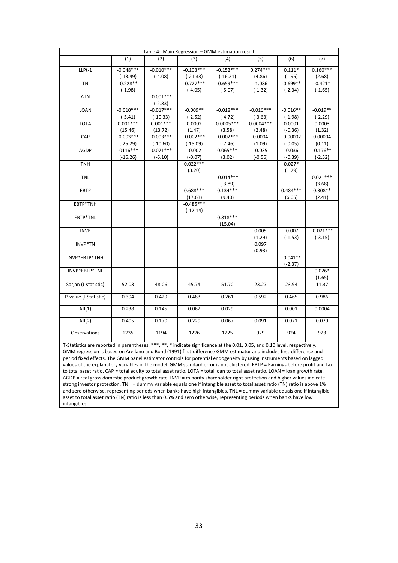| Table 4: Main Regression - GMM estimation result                                                                                |             |                          |                        |             |             |            |             |
|---------------------------------------------------------------------------------------------------------------------------------|-------------|--------------------------|------------------------|-------------|-------------|------------|-------------|
|                                                                                                                                 | (1)         | (2)                      | (3)                    | (4)         | (5)         | (6)        | (7)         |
| LLPt-1                                                                                                                          | $-0.048***$ | $-0.010***$              | $-0.103***$            | $-0.152***$ | $0.274***$  | $0.111*$   | $0.160***$  |
|                                                                                                                                 | $(-13.49)$  | $(-4.08)$                | $(-21.33)$             | $(-16.21)$  | (4.86)      | (1.95)     | (2.68)      |
| <b>TN</b>                                                                                                                       | $-0.228**$  |                          | $-0.727***$            | $-0.659***$ | $-1.086$    | $-0.699**$ | $-0.421*$   |
|                                                                                                                                 | $(-1.98)$   |                          | $(-4.05)$              | $(-5.07)$   | $(-1.32)$   | $(-2.34)$  | $(-1.65)$   |
| ΔTN                                                                                                                             |             | $-0.001***$<br>$(-2.83)$ |                        |             |             |            |             |
| LOAN                                                                                                                            | $-0.010***$ | $-0.017***$              | $-0.009**$             | $-0.018***$ | $-0.016***$ | $-0.016**$ | $-0.019**$  |
|                                                                                                                                 | $(-5.41)$   | $(-10.33)$               | $(-2.52)$              | $(-4.72)$   | $(-3.63)$   | $(-1.98)$  | $(-2.29)$   |
| LOTA                                                                                                                            | $0.001***$  | $0.001***$               | 0.0002                 | $0.0005***$ | $0.0004***$ | 0.0001     | 0.0003      |
|                                                                                                                                 | (15.46)     | (13.72)                  | (1.47)                 | (3.58)      | (2.48)      | $(-0.36)$  | (1.32)      |
| CAP                                                                                                                             | $-0.003***$ | $-0.003***$              | $-0.002***$            | $-0.002***$ | 0.0004      | $-0.00002$ | 0.00004     |
|                                                                                                                                 | $(-25.29)$  | $(-10.60)$               | $(-15.09)$             | $(-7.46)$   | (1.09)      | $(-0.05)$  | (0.11)      |
| <b>AGDP</b>                                                                                                                     | $-0116***$  | $-0.071***$              | $-0.002$               | $0.065***$  | $-0.035$    | $-0.036$   | $-0.176**$  |
|                                                                                                                                 |             |                          | $(-0.07)$              |             |             | $(-0.39)$  |             |
| <b>TNH</b>                                                                                                                      | $(-16.26)$  | $(-6.10)$                | $0.022***$             | (3.02)      | $(-0.56)$   | $0.027*$   | $(-2.52)$   |
|                                                                                                                                 |             |                          | (3.20)                 |             |             | (1.79)     |             |
| <b>TNL</b>                                                                                                                      |             |                          |                        | $-0.014***$ |             |            | $0.021***$  |
|                                                                                                                                 |             |                          |                        | $(-3.89)$   |             |            | (3.68)      |
| EBTP                                                                                                                            |             |                          | $0.688***$             | $0.134***$  |             | $0.484***$ | $0.308**$   |
|                                                                                                                                 |             |                          |                        |             |             |            |             |
| EBTP*TNH                                                                                                                        |             |                          | (17.63)<br>$-0.485***$ | (9.40)      |             | (6.05)     | (2.41)      |
|                                                                                                                                 |             |                          | $(-12.14)$             |             |             |            |             |
| EBTP*TNL                                                                                                                        |             |                          |                        | $0.818***$  |             |            |             |
|                                                                                                                                 |             |                          |                        | (15.04)     |             |            |             |
| <b>INVP</b>                                                                                                                     |             |                          |                        |             | 0.009       | $-0.007$   | $-0.021***$ |
|                                                                                                                                 |             |                          |                        |             | (1.29)      | $(-1.53)$  | $(-3.15)$   |
| INVP*TN                                                                                                                         |             |                          |                        |             | 0.097       |            |             |
|                                                                                                                                 |             |                          |                        |             | (0.93)      |            |             |
| INVP*EBTP*TNH                                                                                                                   |             |                          |                        |             |             | $-0.041**$ |             |
|                                                                                                                                 |             |                          |                        |             |             | $(-2.37)$  |             |
| INVP*EBTP*TNL                                                                                                                   |             |                          |                        |             |             |            | $0.026*$    |
|                                                                                                                                 |             |                          |                        |             |             |            | (1.65)      |
| Sarjan (J-statistic)                                                                                                            | 52.03       | 48.06                    | 45.74                  | 51.70       | 23.27       | 23.94      | 11.37       |
| P-value (J Statistic)                                                                                                           | 0.394       | 0.429                    | 0.483                  | 0.261       | 0.592       | 0.465      | 0.986       |
|                                                                                                                                 |             |                          |                        |             |             |            |             |
| AR(1)                                                                                                                           | 0.238       | 0.145                    | 0.062                  | 0.029       |             | 0.001      | 0.0004      |
| AR(2)                                                                                                                           | 0.405       | 0.170                    | 0.229                  | 0.067       | 0.091       | 0.071      | 0.079       |
| Observations                                                                                                                    | 1235        | 1194                     | 1226                   | 1225        | 929         | 924        | 923         |
| T-Statistics are reported in parentheses. ***, **, * indicate significance at the 0.01, 0.05, and 0.10 level, respectively.     |             |                          |                        |             |             |            |             |
| GMM regression is based on Arellano and Bond (1991) first-difference GMM estimator and includes first-difference and            |             |                          |                        |             |             |            |             |
|                                                                                                                                 |             |                          |                        |             |             |            |             |
| period fixed effects. The GMM panel estimator controls for potential endogeneity by using instruments based on lagged           |             |                          |                        |             |             |            |             |
| values of the explanatory variables in the model. GMM standard error is not clustered. EBTP = Earnings before profit and tax    |             |                          |                        |             |             |            |             |
| to total asset ratio. CAP = total equity to total asset ratio. LOTA = total loan to total asset ratio. LOAN = loan growth rate. |             |                          |                        |             |             |            |             |

ΔGDP = real gross domestic product growth rate. INVP = minority shareholder right protection and higher values indicate strong investor protection. TNH = dummy variable equals one if intangible asset to total asset ratio (TN) ratio is above 1% and zero otherwise, representing periods when banks have high intangibles. TNL = dummy variable equals one if intangible asset to total asset ratio (TN) ratio is less than 0.5% and zero otherwise, representing periods when banks have low intangibles.